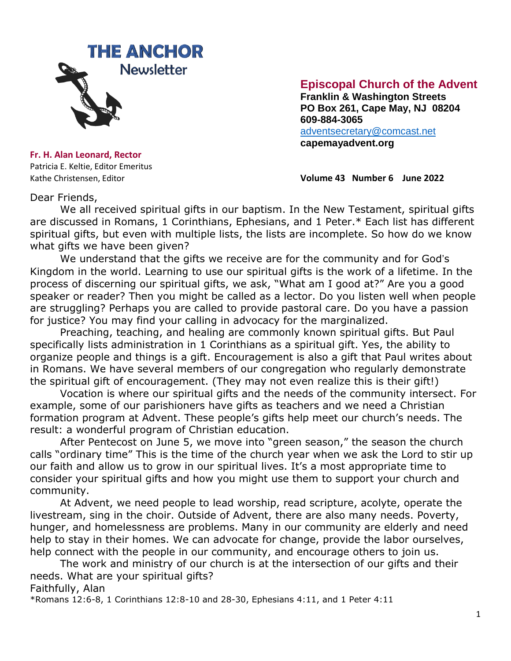

# **Episcopal Church of the Advent**

 **Franklin & Washington Streets PO Box 261, Cape May, NJ 08204 609-884-3065** [adventsecretary@comcast.net](mailto:adventsecretary@comcast.net)  **capemayadvent.org**

**Fr. H. Alan Leonard, Rector** Patricia E. Keltie, Editor Emeritus

Kathe Christensen, Editor **Volume 43 Number 6 June 2022**

Dear Friends,

We all received spiritual gifts in our baptism. In the New Testament, spiritual gifts are discussed in Romans, 1 Corinthians, Ephesians, and 1 Peter.\* Each list has different spiritual gifts, but even with multiple lists, the lists are incomplete. So how do we know what gifts we have been given?

We understand that the gifts we receive are for the community and for God's Kingdom in the world. Learning to use our spiritual gifts is the work of a lifetime. In the process of discerning our spiritual gifts, we ask, "What am I good at?" Are you a good speaker or reader? Then you might be called as a lector. Do you listen well when people are struggling? Perhaps you are called to provide pastoral care. Do you have a passion for justice? You may find your calling in advocacy for the marginalized.

Preaching, teaching, and healing are commonly known spiritual gifts. But Paul specifically lists administration in 1 Corinthians as a spiritual gift. Yes, the ability to organize people and things is a gift. Encouragement is also a gift that Paul writes about in Romans. We have several members of our congregation who regularly demonstrate the spiritual gift of encouragement. (They may not even realize this is their gift!)

Vocation is where our spiritual gifts and the needs of the community intersect. For example, some of our parishioners have gifts as teachers and we need a Christian formation program at Advent. These people's gifts help meet our church's needs. The result: a wonderful program of Christian education.

After Pentecost on June 5, we move into "green season," the season the church calls "ordinary time" This is the time of the church year when we ask the Lord to stir up our faith and allow us to grow in our spiritual lives. It's a most appropriate time to consider your spiritual gifts and how you might use them to support your church and community.

At Advent, we need people to lead worship, read scripture, acolyte, operate the livestream, sing in the choir. Outside of Advent, there are also many needs. Poverty, hunger, and homelessness are problems. Many in our community are elderly and need help to stay in their homes. We can advocate for change, provide the labor ourselves, help connect with the people in our community, and encourage others to join us.

The work and ministry of our church is at the intersection of our gifts and their needs. What are your spiritual gifts?

Faithfully, Alan

\*Romans 12:6-8, 1 Corinthians 12:8-10 and 28-30, Ephesians 4:11, and 1 Peter 4:11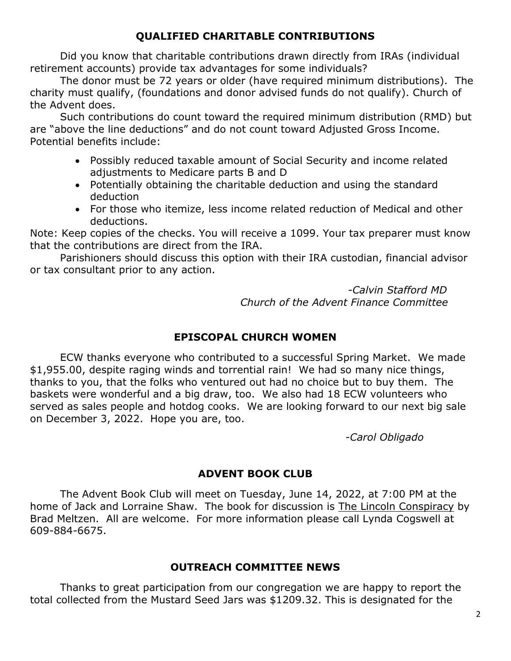# **QUALIFIED CHARITABLE CONTRIBUTIONS**

Did you know that charitable contributions drawn directly from IRAs (individual retirement accounts) provide tax advantages for some individuals?

The donor must be 72 years or older (have required minimum distributions). The charity must qualify, (foundations and donor advised funds do not qualify). Church of the Advent does.

Such contributions do count toward the required minimum distribution (RMD) but are "above the line deductions" and do not count toward Adjusted Gross Income. Potential benefits include:

- Possibly reduced taxable amount of Social Security and income related adjustments to Medicare parts B and D
- Potentially obtaining the charitable deduction and using the standard deduction
- For those who itemize, less income related reduction of Medical and other deductions.

Note: Keep copies of the checks. You will receive a 1099. Your tax preparer must know that the contributions are direct from the IRA.

Parishioners should discuss this option with their IRA custodian, financial advisor or tax consultant prior to any action.

> *-Calvin Stafford MD Church of the Advent Finance Committee*

# **EPISCOPAL CHURCH WOMEN**

ECW thanks everyone who contributed to a successful Spring Market. We made \$1,955.00, despite raging winds and torrential rain! We had so many nice things, thanks to you, that the folks who ventured out had no choice but to buy them. The baskets were wonderful and a big draw, too. We also had 18 ECW volunteers who served as sales people and hotdog cooks. We are looking forward to our next big sale on December 3, 2022. Hope you are, too.

*-Carol Obligado*

# **ADVENT BOOK CLUB**

The Advent Book Club will meet on Tuesday, June 14, 2022, at 7:00 PM at the home of Jack and Lorraine Shaw. The book for discussion is The Lincoln Conspiracy by Brad Meltzen. All are welcome. For more information please call Lynda Cogswell at 609-884-6675.

## **OUTREACH COMMITTEE NEWS**

Thanks to great participation from our congregation we are happy to report the total collected from the Mustard Seed Jars was \$1209.32. This is designated for the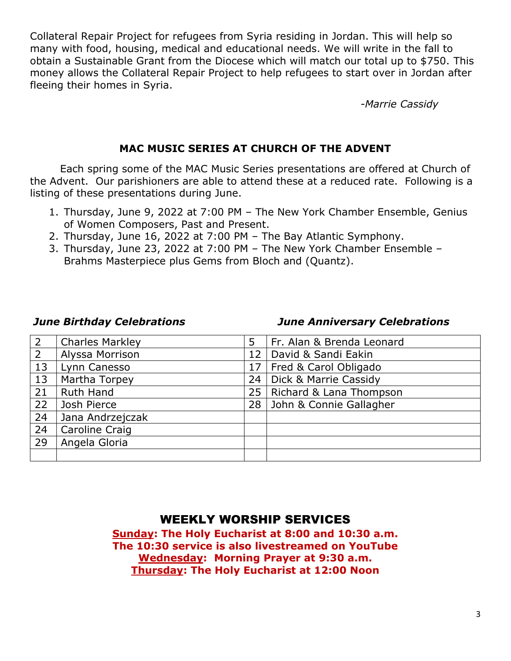Collateral Repair Project for refugees from Syria residing in Jordan. This will help so many with food, housing, medical and educational needs. We will write in the fall to obtain a Sustainable Grant from the Diocese which will match our total up to \$750. This money allows the Collateral Repair Project to help refugees to start over in Jordan after fleeing their homes in Syria.

*-Marrie Cassidy*

### **MAC MUSIC SERIES AT CHURCH OF THE ADVENT**

Each spring some of the MAC Music Series presentations are offered at Church of the Advent. Our parishioners are able to attend these at a reduced rate. Following is a listing of these presentations during June.

- 1. Thursday, June 9, 2022 at 7:00 PM The New York Chamber Ensemble, Genius of Women Composers, Past and Present.
- 2. Thursday, June 16, 2022 at 7:00 PM The Bay Atlantic Symphony.
- 3. Thursday, June 23, 2022 at 7:00 PM The New York Chamber Ensemble Brahms Masterpiece plus Gems from Bloch and (Quantz).

#### *June Birthday Celebrations June Anniversary Celebrations*

| $\overline{2}$ | <b>Charles Markley</b> | 5  | Fr. Alan & Brenda Leonard        |
|----------------|------------------------|----|----------------------------------|
| $\overline{2}$ | Alyssa Morrison        | 12 | David & Sandi Eakin              |
| 13             | Lynn Canesso           | 17 | Fred & Carol Obligado            |
| 13             | Martha Torpey          | 24 | <b>Dick &amp; Marrie Cassidy</b> |
| 21             | Ruth Hand              | 25 | Richard & Lana Thompson          |
| 22             | Josh Pierce            | 28 | John & Connie Gallagher          |
| 24             | Jana Andrzejczak       |    |                                  |
| 24             | Caroline Craig         |    |                                  |
| 29             | Angela Gloria          |    |                                  |
|                |                        |    |                                  |

# WEEKLY WORSHIP SERVICES

**Sunday: The Holy Eucharist at 8:00 and 10:30 a.m. The 10:30 service is also livestreamed on YouTube Wednesday: Morning Prayer at 9:30 a.m. Thursday: The Holy Eucharist at 12:00 Noon**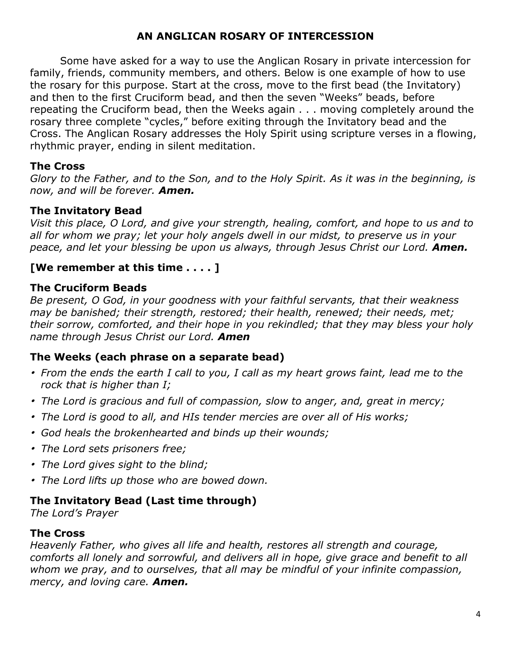# **AN ANGLICAN ROSARY OF INTERCESSION**

Some have asked for a way to use the Anglican Rosary in private intercession for family, friends, community members, and others. Below is one example of how to use the rosary for this purpose. Start at the cross, move to the first bead (the Invitatory) and then to the first Cruciform bead, and then the seven "Weeks" beads, before repeating the Cruciform bead, then the Weeks again . . . moving completely around the rosary three complete "cycles," before exiting through the Invitatory bead and the Cross. The Anglican Rosary addresses the Holy Spirit using scripture verses in a flowing, rhythmic prayer, ending in silent meditation.

#### **The Cross**

Glory to the Father, and to the Son, and to the Holy Spirit. As it was in the beginning, is *now, and will be forever. Amen.*

#### **The Invitatory Bead**

*Visit this place, O Lord, and give your strength, healing, comfort, and hope to us and to all for whom we pray; let your holy angels dwell in our midst, to preserve us in your peace, and let your blessing be upon us always, through Jesus Christ our Lord. Amen.*

#### **[We remember at this time . . . . ]**

#### **The Cruciform Beads**

*Be present, O God, in your goodness with your faithful servants, that their weakness may be banished; their strength, restored; their health, renewed; their needs, met; their sorrow, comforted, and their hope in you rekindled; that they may bless your holy name through Jesus Christ our Lord. Amen*

## **The Weeks (each phrase on a separate bead)**

- From the ends the earth I call to you, I call as my heart grows faint, lead me to the *rock that is higher than I;*
- *The Lord is gracious and full of compassion, slow to anger, and, great in mercy;*
- *The Lord is good to all, and HIs tender mercies are over all of His works;*
- *God heals the brokenhearted and binds up their wounds;*
- *The Lord sets prisoners free;*
- *The Lord gives sight to the blind;*
- *The Lord lifts up those who are bowed down.*

## **The Invitatory Bead (Last time through)**

*The Lord's Prayer*

## **The Cross**

*Heavenly Father, who gives all life and health, restores all strength and courage, comforts all lonely and sorrowful, and delivers all in hope, give grace and benefit to all whom we pray, and to ourselves, that all may be mindful of your infinite compassion, mercy, and loving care. Amen.*